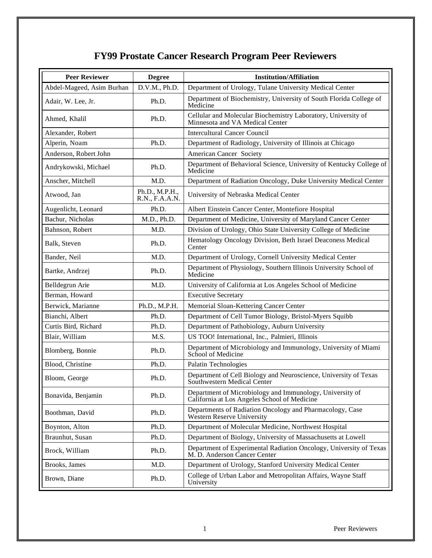## **FY99 Prostate Cancer Research Program Peer Reviewers**

| <b>Peer Reviewer</b>      | <b>Degree</b>                    | <b>Institution/Affiliation</b>                                                                           |
|---------------------------|----------------------------------|----------------------------------------------------------------------------------------------------------|
| Abdel-Mageed, Asim Burhan | D.V.M., Ph.D.                    | Department of Urology, Tulane University Medical Center                                                  |
| Adair, W. Lee, Jr.        | Ph.D.                            | Department of Biochemistry, University of South Florida College of<br>Medicine                           |
| Ahmed, Khalil             | Ph.D.                            | Cellular and Molecular Biochemistry Laboratory, University of<br>Minnesota and VA Medical Center         |
| Alexander, Robert         |                                  | <b>Intercultural Cancer Council</b>                                                                      |
| Alperin, Noam             | Ph.D.                            | Department of Radiology, University of Illinois at Chicago                                               |
| Anderson, Robert John     |                                  | American Cancer Society                                                                                  |
| Andrykowski, Michael      | Ph.D.                            | Department of Behavioral Science, University of Kentucky College of<br>Medicine                          |
| Anscher, Mitchell         | M.D.                             | Department of Radiation Oncology, Duke University Medical Center                                         |
| Atwood, Jan               | Ph.D., M.P.H.,<br>R.N., F.A.A.N. | University of Nebraska Medical Center                                                                    |
| Augenlicht, Leonard       | Ph.D.                            | Albert Einstein Cancer Center, Montefiore Hospital                                                       |
| Bachur, Nicholas          | M.D., Ph.D.                      | Department of Medicine, University of Maryland Cancer Center                                             |
| Bahnson, Robert           | M.D.                             | Division of Urology, Ohio State University College of Medicine                                           |
| Balk, Steven              | Ph.D.                            | Hematology Oncology Division, Beth Israel Deaconess Medical<br>Center                                    |
| Bander, Neil              | M.D.                             | Department of Urology, Cornell University Medical Center                                                 |
| Bartke, Andrzej           | Ph.D.                            | Department of Physiology, Southern Illinois University School of<br>Medicine                             |
| Belldegrun Arie           | M.D.                             | University of California at Los Angeles School of Medicine                                               |
| Berman, Howard            |                                  | <b>Executive Secretary</b>                                                                               |
| Berwick, Marianne         | Ph.D., M.P.H.                    | Memorial Sloan-Kettering Cancer Center                                                                   |
| Bianchi, Albert           | Ph.D.                            | Department of Cell Tumor Biology, Bristol-Myers Squibb                                                   |
| Curtis Bird, Richard      | Ph.D.                            | Department of Pathobiology, Auburn University                                                            |
| Blair, William            | M.S.                             | US TOO! International, Inc., Palmieri, Illinois                                                          |
| Blomberg, Bonnie          | Ph.D.                            | Department of Microbiology and Immunology, University of Miami<br>School of Medicine                     |
| Blood, Christine          | Ph.D.                            | Palatin Technologies                                                                                     |
| Bloom, George             | Ph.D.                            | Department of Cell Biology and Neuroscience, University of Texas<br>Southwestern Medical Center          |
| Bonavida, Benjamin        | Ph.D.                            | Department of Microbiology and Immunology, University of<br>California at Los Angeles School of Medicine |
| Boothman, David           | Ph.D.                            | Departments of Radiation Oncology and Pharmacology, Case<br>Western Reserve University                   |
| Boynton, Alton            | Ph.D.                            | Department of Molecular Medicine, Northwest Hospital                                                     |
| Braunhut, Susan           | Ph.D.                            | Department of Biology, University of Massachusetts at Lowell                                             |
| Brock, William            | Ph.D.                            | Department of Experimental Radiation Oncology, University of Texas<br>M. D. Anderson Cancer Center       |
| Brooks, James             | M.D.                             | Department of Urology, Stanford University Medical Center                                                |
| Brown, Diane              | Ph.D.                            | College of Urban Labor and Metropolitan Affairs, Wayne Staff<br>University                               |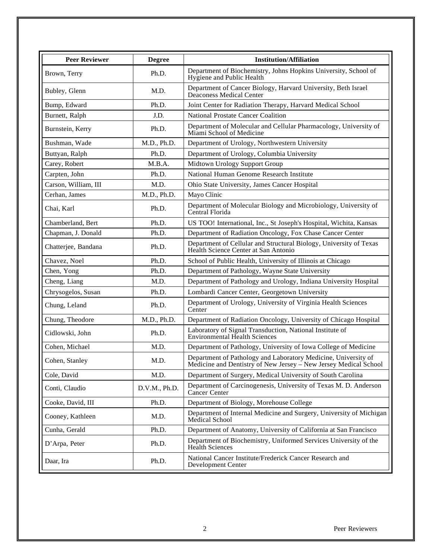| <b>Peer Reviewer</b> | <b>Degree</b> | <b>Institution/Affiliation</b>                                                                                                     |
|----------------------|---------------|------------------------------------------------------------------------------------------------------------------------------------|
| Brown, Terry         | Ph.D.         | Department of Biochemistry, Johns Hopkins University, School of<br>Hygiene and Public Health                                       |
| Bubley, Glenn        | M.D.          | Department of Cancer Biology, Harvard University, Beth Israel<br>Deaconess Medical Center                                          |
| Bump, Edward         | Ph.D.         | Joint Center for Radiation Therapy, Harvard Medical School                                                                         |
| Burnett, Ralph       | J.D.          | <b>National Prostate Cancer Coalition</b>                                                                                          |
| Burnstein, Kerry     | Ph.D.         | Department of Molecular and Cellular Pharmacology, University of<br>Miami School of Medicine                                       |
| Bushman, Wade        | M.D., Ph.D.   | Department of Urology, Northwestern University                                                                                     |
| Buttyan, Ralph       | Ph.D.         | Department of Urology, Columbia University                                                                                         |
| Carey, Robert        | M.B.A.        | Midtown Urology Support Group                                                                                                      |
| Carpten, John        | Ph.D.         | National Human Genome Research Institute                                                                                           |
| Carson, William, III | M.D.          | Ohio State University, James Cancer Hospital                                                                                       |
| Cerhan, James        | M.D., Ph.D.   | Mayo Clinic                                                                                                                        |
| Chai, Karl           | Ph.D.         | Department of Molecular Biology and Microbiology, University of<br>Central Florida                                                 |
| Chamberland, Bert    | Ph.D.         | US TOO! International, Inc., St Joseph's Hospital, Wichita, Kansas                                                                 |
| Chapman, J. Donald   | Ph.D.         | Department of Radiation Oncology, Fox Chase Cancer Center                                                                          |
| Chatterjee, Bandana  | Ph.D.         | Department of Cellular and Structural Biology, University of Texas<br>Health Science Center at San Antonio                         |
| Chavez, Noel         | Ph.D.         | School of Public Health, University of Illinois at Chicago                                                                         |
| Chen, Yong           | Ph.D.         | Department of Pathology, Wayne State University                                                                                    |
| Cheng, Liang         | M.D.          | Department of Pathology and Urology, Indiana University Hospital                                                                   |
| Chrysogelos, Susan   | Ph.D.         | Lombardi Cancer Center, Georgetown University                                                                                      |
| Chung, Leland        | Ph.D.         | Department of Urology, University of Virginia Health Sciences<br>Center                                                            |
| Chung, Theodore      | M.D., Ph.D.   | Department of Radiation Oncology, University of Chicago Hospital                                                                   |
| Cidlowski, John      | Ph.D.         | Laboratory of Signal Transduction, National Institute of<br><b>Environmental Health Sciences</b>                                   |
| Cohen, Michael       | M.D.          | Department of Pathology, University of Iowa College of Medicine                                                                    |
| Cohen, Stanley       | M.D.          | Department of Pathology and Laboratory Medicine, University of<br>Medicine and Dentistry of New Jersey - New Jersey Medical School |
| Cole, David          | M.D.          | Department of Surgery, Medical University of South Carolina                                                                        |
| Conti, Claudio       | D.V.M., Ph.D. | Department of Carcinogenesis, University of Texas M. D. Anderson<br>Cancer Center                                                  |
| Cooke, David, III    | Ph.D.         | Department of Biology, Morehouse College                                                                                           |
| Cooney, Kathleen     | M.D.          | Department of Internal Medicine and Surgery, University of Michigan<br>Medical School                                              |
| Cunha, Gerald        | Ph.D.         | Department of Anatomy, University of California at San Francisco                                                                   |
| D'Arpa, Peter        | Ph.D.         | Department of Biochemistry, Uniformed Services University of the<br><b>Health Sciences</b>                                         |
| Daar, Ira            | Ph.D.         | National Cancer Institute/Frederick Cancer Research and<br>Development Center                                                      |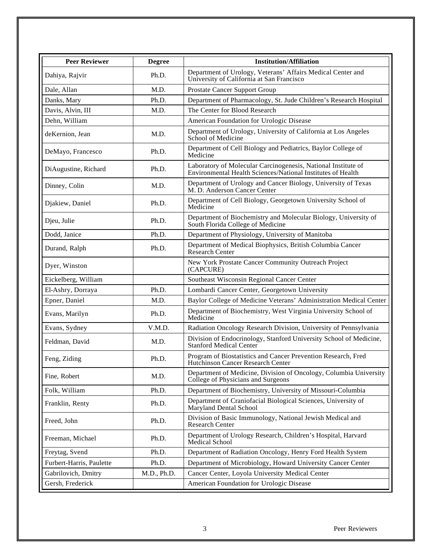| <b>Peer Reviewer</b>     | <b>Degree</b> | <b>Institution/Affiliation</b>                                                                                               |
|--------------------------|---------------|------------------------------------------------------------------------------------------------------------------------------|
| Dahiya, Rajvir           | Ph.D.         | Department of Urology, Veterans' Affairs Medical Center and<br>University of California at San Francisco                     |
| Dale, Allan              | M.D.          | Prostate Cancer Support Group                                                                                                |
| Danks, Mary              | Ph.D.         | Department of Pharmacology, St. Jude Children's Research Hospital                                                            |
| Davis, Alvin, III        | M.D.          | The Center for Blood Research                                                                                                |
| Dehn, William            |               | American Foundation for Urologic Disease                                                                                     |
| deKernion, Jean          | M.D.          | Department of Urology, University of California at Los Angeles<br>School of Medicine                                         |
| DeMayo, Francesco        | Ph.D.         | Department of Cell Biology and Pediatrics, Baylor College of<br>Medicine                                                     |
| DiAugustine, Richard     | Ph.D.         | Laboratory of Molecular Carcinogenesis, National Institute of<br>Environmental Health Sciences/National Institutes of Health |
| Dinney, Colin            | M.D.          | Department of Urology and Cancer Biology, University of Texas<br>M.D. Anderson Cancer Center                                 |
| Djakiew, Daniel          | Ph.D.         | Department of Cell Biology, Georgetown University School of<br>Medicine                                                      |
| Djeu, Julie              | Ph.D.         | Department of Biochemistry and Molecular Biology, University of<br>South Florida College of Medicine                         |
| Dodd, Janice             | Ph.D.         | Department of Physiology, University of Manitoba                                                                             |
| Durand, Ralph            | Ph.D.         | Department of Medical Biophysics, British Columbia Cancer<br><b>Research Center</b>                                          |
| Dyer, Winston            |               | New York Prostate Cancer Community Outreach Project<br>(CAPCURE)                                                             |
| Eickelberg, William      |               | Southeast Wisconsin Regional Cancer Center                                                                                   |
| El-Ashry, Dorraya        | Ph.D.         | Lombardi Cancer Center, Georgetown University                                                                                |
| Epner, Daniel            | M.D.          | Baylor College of Medicine Veterans' Administration Medical Center                                                           |
| Evans, Marilyn           | Ph.D.         | Department of Biochemistry, West Virginia University School of<br>Medicine                                                   |
| Evans, Sydney            | V.M.D.        | Radiation Oncology Research Division, University of Pennsylvania                                                             |
| Feldman, David           | M.D.          | Division of Endocrinology, Stanford University School of Medicine,<br><b>Stanford Medical Center</b>                         |
| Feng, Ziding             | Ph.D.         | Program of Biostatistics and Cancer Prevention Research, Fred<br>Hutchinson Cancer Research Center                           |
| Fine, Robert             | M.D.          | Department of Medicine, Division of Oncology, Columbia University<br>College of Physicians and Surgeons                      |
| Folk, William            | Ph.D.         | Department of Biochemistry, University of Missouri-Columbia                                                                  |
| Franklin, Renty          | Ph.D.         | Department of Craniofacial Biological Sciences, University of<br>Maryland Dental School                                      |
| Freed, John              | Ph.D.         | Division of Basic Immunology, National Jewish Medical and<br><b>Research Center</b>                                          |
| Freeman, Michael         | Ph.D.         | Department of Urology Research, Children's Hospital, Harvard<br><b>Medical School</b>                                        |
| Freytag, Svend           | Ph.D.         | Department of Radiation Oncology, Henry Ford Health System                                                                   |
| Furbert-Harris, Paulette | Ph.D.         | Department of Microbiology, Howard University Cancer Center                                                                  |
| Gabrilovich, Dmitry      | M.D., Ph.D.   | Cancer Center, Loyola University Medical Center                                                                              |
| Gersh, Frederick         |               | American Foundation for Urologic Disease                                                                                     |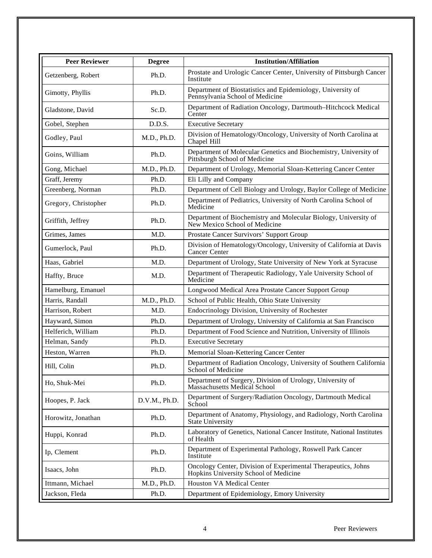| <b>Peer Reviewer</b> | <b>Degree</b> | <b>Institution/Affiliation</b>                                                                         |
|----------------------|---------------|--------------------------------------------------------------------------------------------------------|
| Getzenberg, Robert   | Ph.D.         | Prostate and Urologic Cancer Center, University of Pittsburgh Cancer<br>Institute                      |
| Gimotty, Phyllis     | Ph.D.         | Department of Biostatistics and Epidemiology, University of<br>Pennsylvania School of Medicine         |
| Gladstone, David     | Sc.D.         | Department of Radiation Oncology, Dartmouth-Hitchcock Medical<br>Center                                |
| Gobel, Stephen       | D.D.S.        | <b>Executive Secretary</b>                                                                             |
| Godley, Paul         | M.D., Ph.D.   | Division of Hematology/Oncology, University of North Carolina at<br>Chapel Hill                        |
| Goins, William       | Ph.D.         | Department of Molecular Genetics and Biochemistry, University of<br>Pittsburgh School of Medicine      |
| Gong, Michael        | M.D., Ph.D.   | Department of Urology, Memorial Sloan-Kettering Cancer Center                                          |
| Graff, Jeremy        | Ph.D.         | Eli Lilly and Company                                                                                  |
| Greenberg, Norman    | Ph.D.         | Department of Cell Biology and Urology, Baylor College of Medicine                                     |
| Gregory, Christopher | Ph.D.         | Department of Pediatrics, University of North Carolina School of<br>Medicine                           |
| Griffith, Jeffrey    | Ph.D.         | Department of Biochemistry and Molecular Biology, University of<br>New Mexico School of Medicine       |
| Grimes, James        | M.D.          | Prostate Cancer Survivors' Support Group                                                               |
| Gumerlock, Paul      | Ph.D.         | Division of Hematology/Oncology, University of California at Davis<br><b>Cancer Center</b>             |
| Haas, Gabriel        | M.D.          | Department of Urology, State University of New York at Syracuse                                        |
| Haffty, Bruce        | M.D.          | Department of Therapeutic Radiology, Yale University School of<br>Medicine                             |
| Hamelburg, Emanuel   |               | Longwood Medical Area Prostate Cancer Support Group                                                    |
| Harris, Randall      | M.D., Ph.D.   | School of Public Health, Ohio State University                                                         |
| Harrison, Robert     | M.D.          | Endocrinology Division, University of Rochester                                                        |
| Hayward, Simon       | Ph.D.         | Department of Urology, University of California at San Francisco                                       |
| Helferich, William   | Ph.D.         | Department of Food Science and Nutrition, University of Illinois                                       |
| Helman, Sandy        | Ph.D.         | <b>Executive Secretary</b>                                                                             |
| Heston, Warren       | Ph.D.         | Memorial Sloan-Kettering Cancer Center                                                                 |
| Hill, Colin          | Ph.D.         | Department of Radiation Oncology, University of Southern California<br>School of Medicine              |
| Ho, Shuk-Mei         | Ph.D.         | Department of Surgery, Division of Urology, University of<br><b>Massachusetts Medical School</b>       |
| Hoopes, P. Jack      | D.V.M., Ph.D. | Department of Surgery/Radiation Oncology, Dartmouth Medical<br>School                                  |
| Horowitz, Jonathan   | Ph.D.         | Department of Anatomy, Physiology, and Radiology, North Carolina<br><b>State University</b>            |
| Huppi, Konrad        | Ph.D.         | Laboratory of Genetics, National Cancer Institute, National Institutes<br>of Health                    |
| Ip, Clement          | Ph.D.         | Department of Experimental Pathology, Roswell Park Cancer<br>Institute                                 |
| Isaacs, John         | Ph.D.         | Oncology Center, Division of Experimental Therapeutics, Johns<br>Hopkins University School of Medicine |
| Ittmann, Michael     | M.D., Ph.D.   | <b>Houston VA Medical Center</b>                                                                       |
| Jackson, Fleda       | Ph.D.         | Department of Epidemiology, Emory University                                                           |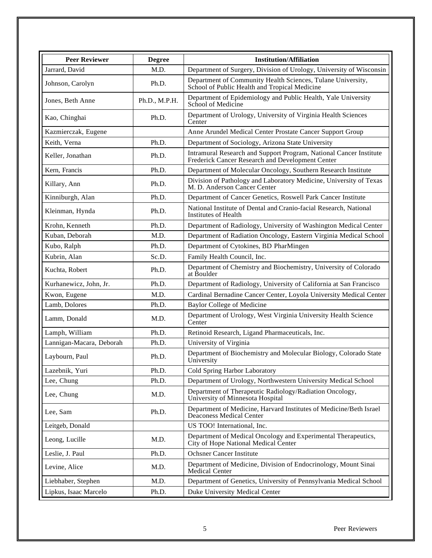| <b>Peer Reviewer</b>     | <b>Degree</b> | <b>Institution/Affiliation</b>                                                                                         |
|--------------------------|---------------|------------------------------------------------------------------------------------------------------------------------|
| Jarrard, David           | M.D.          | Department of Surgery, Division of Urology, University of Wisconsin                                                    |
| Johnson, Carolyn         | Ph.D.         | Department of Community Health Sciences, Tulane University,<br>School of Public Health and Tropical Medicine           |
| Jones, Beth Anne         | Ph.D., M.P.H. | Department of Epidemiology and Public Health, Yale University<br>School of Medicine                                    |
| Kao, Chinghai            | Ph.D.         | Department of Urology, University of Virginia Health Sciences<br>Center                                                |
| Kazmierczak, Eugene      |               | Anne Arundel Medical Center Prostate Cancer Support Group                                                              |
| Keith, Verna             | Ph.D.         | Department of Sociology, Arizona State University                                                                      |
| Keller, Jonathan         | Ph.D.         | Intramural Research and Support Program, National Cancer Institute<br>Frederick Cancer Research and Development Center |
| Kern, Francis            | Ph.D.         | Department of Molecular Oncology, Southern Research Institute                                                          |
| Killary, Ann             | Ph.D.         | Division of Pathology and Laboratory Medicine, University of Texas<br>M. D. Anderson Cancer Center                     |
| Kinniburgh, Alan         | Ph.D.         | Department of Cancer Genetics, Roswell Park Cancer Institute                                                           |
| Kleinman, Hynda          | Ph.D.         | National Institute of Dental and Cranio-facial Research, National<br>Institutes of Health                              |
| Krohn, Kenneth           | Ph.D.         | Department of Radiology, University of Washington Medical Center                                                       |
| Kuban, Deborah           | M.D.          | Department of Radiation Oncology, Eastern Virginia Medical School                                                      |
| Kubo, Ralph              | Ph.D.         | Department of Cytokines, BD PharMingen                                                                                 |
| Kubrin, Alan             | Sc.D.         | Family Health Council, Inc.                                                                                            |
| Kuchta, Robert           | Ph.D.         | Department of Chemistry and Biochemistry, University of Colorado<br>at Boulder                                         |
| Kurhanewicz, John, Jr.   | Ph.D.         | Department of Radiology, University of California at San Francisco                                                     |
| Kwon, Eugene             | M.D.          | Cardinal Bernadine Cancer Center, Loyola University Medical Center                                                     |
| Lamb, Dolores            | Ph.D.         | <b>Baylor College of Medicine</b>                                                                                      |
| Lamm, Donald             | M.D.          | Department of Urology, West Virginia University Health Science<br>Center                                               |
| Lamph, William           | Ph.D.         | Retinoid Research, Ligand Pharmaceuticals, Inc.                                                                        |
| Lannigan-Macara, Deborah | Ph.D.         | University of Virginia                                                                                                 |
| Laybourn, Paul           | Ph.D.         | Department of Biochemistry and Molecular Biology, Colorado State<br>University                                         |
| Lazebnik, Yuri           | Ph.D.         | Cold Spring Harbor Laboratory                                                                                          |
| Lee, Chung               | Ph.D.         | Department of Urology, Northwestern University Medical School                                                          |
| Lee, Chung               | M.D.          | Department of Therapeutic Radiology/Radiation Oncology,<br>University of Minnesota Hospital                            |
| Lee, Sam                 | Ph.D.         | Department of Medicine, Harvard Institutes of Medicine/Beth Israel<br>Deaconess Medical Center                         |
| Leitgeb, Donald          |               | US TOO! International, Inc.                                                                                            |
| Leong, Lucille           | M.D.          | Department of Medical Oncology and Experimental Therapeutics,<br>City of Hope National Medical Center                  |
| Leslie, J. Paul          | Ph.D.         | <b>Ochsner Cancer Institute</b>                                                                                        |
| Levine, Alice            | M.D.          | Department of Medicine, Division of Endocrinology, Mount Sinai<br>Medical Center                                       |
| Liebhaber, Stephen       | M.D.          | Department of Genetics, University of Pennsylvania Medical School                                                      |
| Lipkus, Isaac Marcelo    | Ph.D.         | Duke University Medical Center                                                                                         |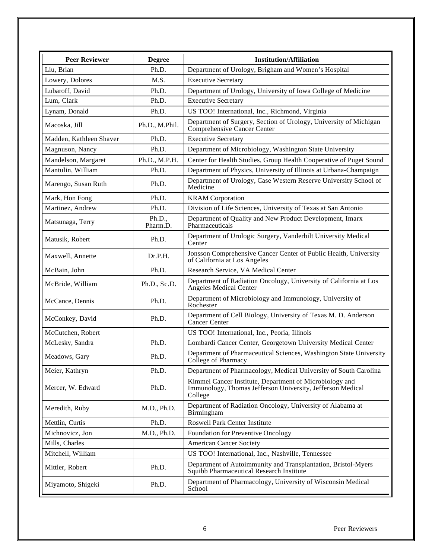| <b>Peer Reviewer</b>    | <b>Degree</b>      | <b>Institution/Affiliation</b>                                                                                                   |
|-------------------------|--------------------|----------------------------------------------------------------------------------------------------------------------------------|
| Liu, Brian              | Ph.D.              | Department of Urology, Brigham and Women's Hospital                                                                              |
| Lowery, Dolores         | M.S.               | <b>Executive Secretary</b>                                                                                                       |
| Lubaroff, David         | Ph.D.              | Department of Urology, University of Iowa College of Medicine                                                                    |
| Lum, Clark              | Ph.D.              | <b>Executive Secretary</b>                                                                                                       |
| Lynam, Donald           | Ph.D.              | US TOO! International, Inc., Richmond, Virginia                                                                                  |
| Macoska, Jill           | Ph.D., M.Phil.     | Department of Surgery, Section of Urology, University of Michigan<br>Comprehensive Cancer Center                                 |
| Madden, Kathleen Shaver | Ph.D.              | <b>Executive Secretary</b>                                                                                                       |
| Magnuson, Nancy         | Ph.D.              | Department of Microbiology, Washington State University                                                                          |
| Mandelson, Margaret     | Ph.D., M.P.H.      | Center for Health Studies, Group Health Cooperative of Puget Sound                                                               |
| Mantulin, William       | Ph.D.              | Department of Physics, University of Illinois at Urbana-Champaign                                                                |
| Marengo, Susan Ruth     | Ph.D.              | Department of Urology, Case Western Reserve University School of<br>Medicine                                                     |
| Mark, Hon Fong          | Ph.D.              | <b>KRAM</b> Corporation                                                                                                          |
| Martinez, Andrew        | Ph.D.              | Division of Life Sciences, University of Texas at San Antonio                                                                    |
| Matsunaga, Terry        | Ph.D.,<br>Pharm.D. | Department of Quality and New Product Development, Imarx<br>Pharmaceuticals                                                      |
| Matusik, Robert         | Ph.D.              | Department of Urologic Surgery, Vanderbilt University Medical<br>Center                                                          |
| Maxwell, Annette        | Dr.P.H.            | Jonsson Comprehensive Cancer Center of Public Health, University<br>of California at Los Angeles                                 |
| McBain, John            | Ph.D.              | Research Service, VA Medical Center                                                                                              |
| McBride, William        | Ph.D., Sc.D.       | Department of Radiation Oncology, University of California at Los<br>Angeles Medical Center                                      |
| McCance, Dennis         | Ph.D.              | Department of Microbiology and Immunology, University of<br>Rochester                                                            |
| McConkey, David         | Ph.D.              | Department of Cell Biology, University of Texas M. D. Anderson<br>Cancer Center                                                  |
| McCutchen, Robert       |                    | US TOO! International, Inc., Peoria, Illinois                                                                                    |
| McLesky, Sandra         | Ph.D.              | Lombardi Cancer Center, Georgetown University Medical Center                                                                     |
| Meadows, Gary           | Ph.D.              | Department of Pharmaceutical Sciences, Washington State University<br>College of Pharmacy                                        |
| Meier, Kathryn          | Ph.D.              | Department of Pharmacology, Medical University of South Carolina                                                                 |
| Mercer, W. Edward       | Ph.D.              | Kimmel Cancer Institute, Department of Microbiology and<br>Immunology, Thomas Jefferson University, Jefferson Medical<br>College |
| Meredith, Ruby          | M.D., Ph.D.        | Department of Radiation Oncology, University of Alabama at<br>Birmingham                                                         |
| Mettlin, Curtis         | Ph.D.              | <b>Roswell Park Center Institute</b>                                                                                             |
| Michnovicz, Jon         | M.D., Ph.D.        | Foundation for Preventive Oncology                                                                                               |
| Mills, Charles          |                    | <b>American Cancer Society</b>                                                                                                   |
| Mitchell, William       |                    | US TOO! International, Inc., Nashville, Tennessee                                                                                |
| Mittler, Robert         | Ph.D.              | Department of Autoimmunity and Transplantation, Bristol-Myers<br>Squibb Pharmaceutical Research Institute                        |
| Miyamoto, Shigeki       | Ph.D.              | Department of Pharmacology, University of Wisconsin Medical<br>School                                                            |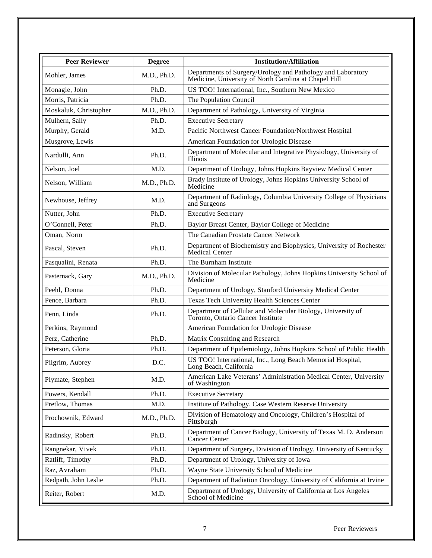| <b>Peer Reviewer</b>  | <b>Degree</b> | <b>Institution/Affiliation</b>                                                                                       |
|-----------------------|---------------|----------------------------------------------------------------------------------------------------------------------|
| Mohler, James         | M.D., Ph.D.   | Departments of Surgery/Urology and Pathology and Laboratory<br>Medicine, University of North Carolina at Chapel Hill |
| Monagle, John         | Ph.D.         | US TOO! International, Inc., Southern New Mexico                                                                     |
| Morris, Patricia      | Ph.D.         | The Population Council                                                                                               |
| Moskaluk, Christopher | M.D., Ph.D.   | Department of Pathology, University of Virginia                                                                      |
| Mulhern, Sally        | Ph.D.         | <b>Executive Secretary</b>                                                                                           |
| Murphy, Gerald        | M.D.          | Pacific Northwest Cancer Foundation/Northwest Hospital                                                               |
| Musgrove, Lewis       |               | American Foundation for Urologic Disease                                                                             |
| Nardulli, Ann         | Ph.D.         | Department of Molecular and Integrative Physiology, University of<br><b>Illinois</b>                                 |
| Nelson, Joel          | M.D.          | Department of Urology, Johns Hopkins Bayview Medical Center                                                          |
| Nelson, William       | M.D., Ph.D.   | Brady Institute of Urology, Johns Hopkins University School of<br>Medicine                                           |
| Newhouse, Jeffrey     | M.D.          | Department of Radiology, Columbia University College of Physicians<br>and Surgeons                                   |
| Nutter, John          | Ph.D.         | <b>Executive Secretary</b>                                                                                           |
| O'Connell, Peter      | Ph.D.         | Baylor Breast Center, Baylor College of Medicine                                                                     |
| Oman, Norm            |               | The Canadian Prostate Cancer Network                                                                                 |
| Pascal, Steven        | Ph.D.         | Department of Biochemistry and Biophysics, University of Rochester<br>Medical Center                                 |
| Pasqualini, Renata    | Ph.D.         | The Burnham Institute                                                                                                |
| Pasternack, Gary      | M.D., Ph.D.   | Division of Molecular Pathology, Johns Hopkins University School of<br>Medicine                                      |
| Peehl, Donna          | Ph.D.         | Department of Urology, Stanford University Medical Center                                                            |
| Pence, Barbara        | Ph.D.         | Texas Tech University Health Sciences Center                                                                         |
| Penn, Linda           | Ph.D.         | Department of Cellular and Molecular Biology, University of<br>Toronto, Ontario Cancer Institute                     |
| Perkins, Raymond      |               | American Foundation for Urologic Disease                                                                             |
| Perz, Catherine       | Ph.D.         | Matrix Consulting and Research                                                                                       |
| Peterson, Gloria      | Ph.D.         | Department of Epidemiology, Johns Hopkins School of Public Health                                                    |
| Pilgrim, Aubrey       | D.C.          | US TOO! International, Inc., Long Beach Memorial Hospital,<br>Long Beach, California                                 |
| Plymate, Stephen      | M.D.          | American Lake Veterans' Administration Medical Center, University<br>of Washington                                   |
| Powers, Kendall       | Ph.D.         | <b>Executive Secretary</b>                                                                                           |
| Pretlow, Thomas       | M.D.          | Institute of Pathology, Case Western Reserve University                                                              |
| Prochownik, Edward    | M.D., Ph.D.   | Division of Hematology and Oncology, Children's Hospital of<br>Pittsburgh                                            |
| Radinsky, Robert      | Ph.D.         | Department of Cancer Biology, University of Texas M. D. Anderson<br>Cancer Center                                    |
| Rangnekar, Vivek      | Ph.D.         | Department of Surgery, Division of Urology, University of Kentucky                                                   |
| Ratliff, Timothy      | Ph.D.         | Department of Urology, University of Iowa                                                                            |
| Raz, Avraham          | Ph.D.         | Wayne State University School of Medicine                                                                            |
| Redpath, John Leslie  | Ph.D.         | Department of Radiation Oncology, University of California at Irvine                                                 |
| Reiter, Robert        | M.D.          | Department of Urology, University of California at Los Angeles<br>School of Medicine                                 |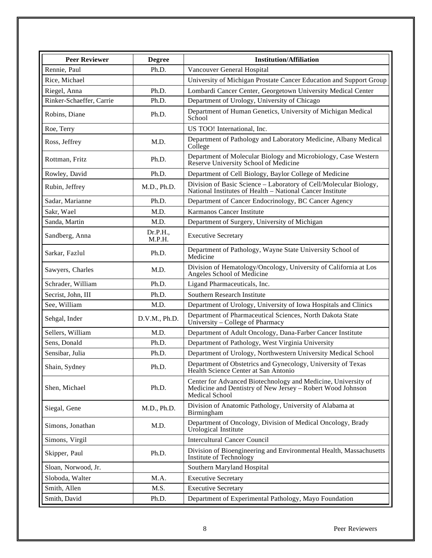| <b>Peer Reviewer</b>     | <b>Degree</b>      | <b>Institution/Affiliation</b>                                                                                                                       |
|--------------------------|--------------------|------------------------------------------------------------------------------------------------------------------------------------------------------|
| Rennie, Paul             | Ph.D.              | Vancouver General Hospital                                                                                                                           |
| Rice, Michael            |                    | University of Michigan Prostate Cancer Education and Support Group                                                                                   |
| Riegel, Anna             | Ph.D.              | Lombardi Cancer Center, Georgetown University Medical Center                                                                                         |
| Rinker-Schaeffer, Carrie | Ph.D.              | Department of Urology, University of Chicago                                                                                                         |
| Robins, Diane            | Ph.D.              | Department of Human Genetics, University of Michigan Medical<br>School                                                                               |
| Roe, Terry               |                    | US TOO! International, Inc.                                                                                                                          |
| Ross, Jeffrey            | M.D.               | Department of Pathology and Laboratory Medicine, Albany Medical<br>College                                                                           |
| Rottman, Fritz           | Ph.D.              | Department of Molecular Biology and Microbiology, Case Western<br>Reserve University School of Medicine                                              |
| Rowley, David            | Ph.D.              | Department of Cell Biology, Baylor College of Medicine                                                                                               |
| Rubin, Jeffrey           | M.D., Ph.D.        | Division of Basic Science - Laboratory of Cell/Molecular Biology,<br>National Institutes of Health - National Cancer Institute                       |
| Sadar, Marianne          | Ph.D.              | Department of Cancer Endocrinology, BC Cancer Agency                                                                                                 |
| Sakr, Wael               | M.D.               | Karmanos Cancer Institute                                                                                                                            |
| Sanda, Martin            | M.D.               | Department of Surgery, University of Michigan                                                                                                        |
| Sandberg, Anna           | Dr.P.H.,<br>M.P.H. | <b>Executive Secretary</b>                                                                                                                           |
| Sarkar, Fazlul           | Ph.D.              | Department of Pathology, Wayne State University School of<br>Medicine                                                                                |
| Sawyers, Charles         | M.D.               | Division of Hematology/Oncology, University of California at Los<br>Angeles School of Medicine                                                       |
| Schrader, William        | Ph.D.              | Ligand Pharmaceuticals, Inc.                                                                                                                         |
| Secrist, John, III       | Ph.D.              | Southern Research Institute                                                                                                                          |
| See, William             | M.D.               | Department of Urology, University of Iowa Hospitals and Clinics                                                                                      |
| Sehgal, Inder            | D.V.M., Ph.D.      | Department of Pharmaceutical Sciences, North Dakota State<br>University – College of Pharmacy                                                        |
| Sellers, William         | M.D.               | Department of Adult Oncology, Dana-Farber Cancer Institute                                                                                           |
| Sens, Donald             | Ph.D.              | Department of Pathology, West Virginia University                                                                                                    |
| Sensibar, Julia          | Ph.D.              | Department of Urology, Northwestern University Medical School                                                                                        |
| Shain, Sydney            | Ph.D.              | Department of Obstetrics and Gynecology, University of Texas<br>Health Science Center at San Antonio                                                 |
| Shen, Michael            | Ph.D.              | Center for Advanced Biotechnology and Medicine, University of<br>Medicine and Dentistry of New Jersey - Robert Wood Johnson<br><b>Medical School</b> |
| Siegal, Gene             | M.D., Ph.D.        | Division of Anatomic Pathology, University of Alabama at<br>Birmingham                                                                               |
| Simons, Jonathan         | M.D.               | Department of Oncology, Division of Medical Oncology, Brady<br>Urological Institute                                                                  |
| Simons, Virgil           |                    | <b>Intercultural Cancer Council</b>                                                                                                                  |
| Skipper, Paul            | Ph.D.              | Division of Bioengineering and Environmental Health, Massachusetts<br>Institute of Technology                                                        |
| Sloan, Norwood, Jr.      |                    | Southern Maryland Hospital                                                                                                                           |
| Sloboda, Walter          | M.A.               | <b>Executive Secretary</b>                                                                                                                           |
| Smith, Allen             | M.S.               | <b>Executive Secretary</b>                                                                                                                           |
| Smith, David             | Ph.D.              | Department of Experimental Pathology, Mayo Foundation                                                                                                |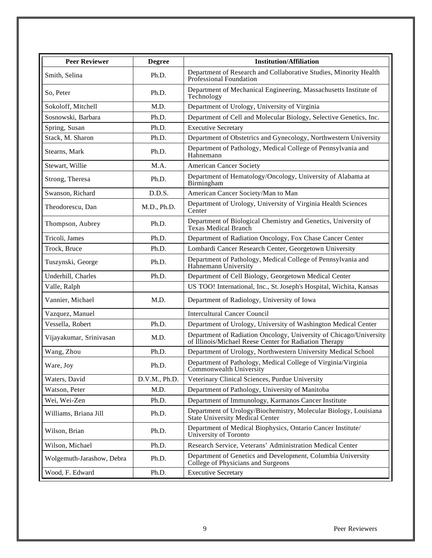| <b>Peer Reviewer</b>      | <b>Degree</b> | <b>Institution/Affiliation</b>                                                                                               |
|---------------------------|---------------|------------------------------------------------------------------------------------------------------------------------------|
| Smith, Selina             | Ph.D.         | Department of Research and Collaborative Studies, Minority Health<br>Professional Foundation                                 |
| So, Peter                 | Ph.D.         | Department of Mechanical Engineering, Massachusetts Institute of<br>Technology                                               |
| Sokoloff, Mitchell        | M.D.          | Department of Urology, University of Virginia                                                                                |
| Sosnowski, Barbara        | Ph.D.         | Department of Cell and Molecular Biology, Selective Genetics, Inc.                                                           |
| Spring, Susan             | Ph.D.         | <b>Executive Secretary</b>                                                                                                   |
| Stack, M. Sharon          | Ph.D.         | Department of Obstetrics and Gynecology, Northwestern University                                                             |
| Stearns, Mark             | Ph.D.         | Department of Pathology, Medical College of Pennsylvania and<br>Hahnemann                                                    |
| Stewart, Willie           | M.A.          | <b>American Cancer Society</b>                                                                                               |
| Strong, Theresa           | Ph.D.         | Department of Hematology/Oncology, University of Alabama at<br>Birmingham                                                    |
| Swanson, Richard          | D.D.S.        | American Cancer Society/Man to Man                                                                                           |
| Theodorescu, Dan          | M.D., Ph.D.   | Department of Urology, University of Virginia Health Sciences<br>Center                                                      |
| Thompson, Aubrey          | Ph.D.         | Department of Biological Chemistry and Genetics, University of<br><b>Texas Medical Branch</b>                                |
| Tricoli, James            | Ph.D.         | Department of Radiation Oncology, Fox Chase Cancer Center                                                                    |
| Trock, Bruce              | Ph.D.         | Lombardi Cancer Research Center, Georgetown University                                                                       |
| Tuszynski, George         | Ph.D.         | Department of Pathology, Medical College of Pennsylvania and<br>Hahnemann University                                         |
| Underhill, Charles        | Ph.D.         | Department of Cell Biology, Georgetown Medical Center                                                                        |
| Valle, Ralph              |               | US TOO! International, Inc., St. Joseph's Hospital, Wichita, Kansas                                                          |
| Vannier, Michael          | M.D.          | Department of Radiology, University of Iowa                                                                                  |
| Vazquez, Manuel           |               | <b>Intercultural Cancer Council</b>                                                                                          |
| Vessella, Robert          | Ph.D.         | Department of Urology, University of Washington Medical Center                                                               |
| Vijayakumar, Srinivasan   | M.D.          | Department of Radiation Oncology, University of Chicago/University<br>of Illinois/Michael Reese Center for Radiation Therapy |
| Wang, Zhou                | Ph.D.         | Department of Urology, Northwestern University Medical School                                                                |
| Ware, Joy                 | Ph.D.         | Department of Pathology, Medical College of Virginia/Virginia<br>Commonwealth University                                     |
| Waters, David             | D.V.M., Ph.D. | Veterinary Clinical Sciences, Purdue University                                                                              |
| Watson, Peter             | M.D.          | Department of Pathology, University of Manitoba                                                                              |
| Wei, Wei-Zen              | Ph.D.         | Department of Immunology, Karmanos Cancer Institute                                                                          |
| Williams, Briana Jill     | Ph.D.         | Department of Urology/Biochemistry, Molecular Biology, Louisiana<br><b>State University Medical Center</b>                   |
| Wilson, Brian             | Ph.D.         | Department of Medical Biophysics, Ontario Cancer Institute/<br>University of Toronto                                         |
| Wilson, Michael           | Ph.D.         | Research Service, Veterans' Administration Medical Center                                                                    |
| Wolgemuth-Jarashow, Debra | Ph.D.         | Department of Genetics and Development, Columbia University<br>College of Physicians and Surgeons                            |
| Wood, F. Edward           | Ph.D.         | <b>Executive Secretary</b>                                                                                                   |